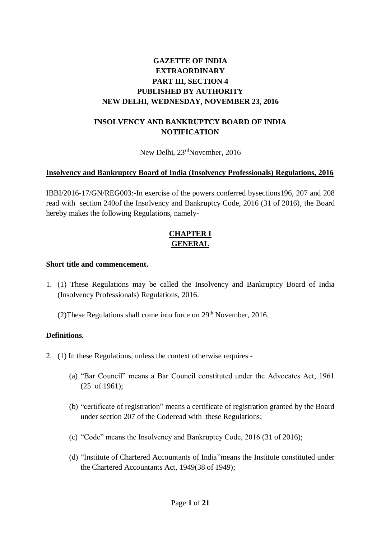# **GAZETTE OF INDIA EXTRAORDINARY PART III, SECTION 4 PUBLISHED BY AUTHORITY NEW DELHI, WEDNESDAY, NOVEMBER 23, 2016**

## **INSOLVENCY AND BANKRUPTCY BOARD OF INDIA NOTIFICATION**

New Delhi, 23<sup>rd</sup>November, 2016

### **Insolvency and Bankruptcy Board of India (Insolvency Professionals) Regulations, 2016**

IBBI/2016-17/GN/REG003:-In exercise of the powers conferred bysections196, 207 and 208 read with section 240of the Insolvency and Bankruptcy Code, 2016 (31 of 2016), the Board hereby makes the following Regulations, namely-

## **CHAPTER I GENERAL**

#### **Short title and commencement.**

1. (1) These Regulations may be called the Insolvency and Bankruptcy Board of India (Insolvency Professionals) Regulations, 2016.

(2) These Regulations shall come into force on  $29<sup>th</sup>$  November, 2016.

## **Definitions.**

- 2. (1) In these Regulations, unless the context otherwise requires
	- (a) "Bar Council" means a Bar Council constituted under the Advocates Act, 1961 (25 of 1961);
	- (b) "certificate of registration" means a certificate of registration granted by the Board under section 207 of the Coderead with these Regulations;
	- (c) "Code" means the Insolvency and Bankruptcy Code, 2016 (31 of 2016);
	- (d) "Institute of Chartered Accountants of India"means the Institute constituted under the Chartered Accountants Act, 1949(38 of 1949);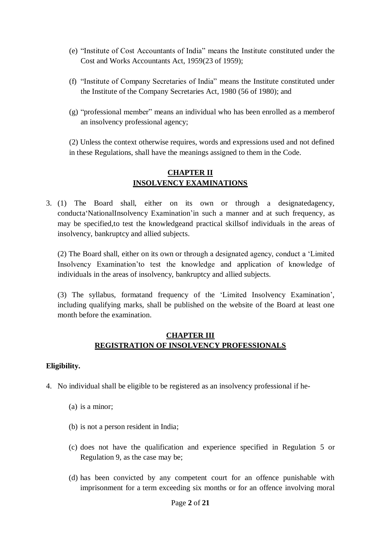- (e) "Institute of Cost Accountants of India" means the Institute constituted under the Cost and Works Accountants Act, 1959(23 of 1959);
- (f) "Institute of Company Secretaries of India" means the Institute constituted under the Institute of the Company Secretaries Act, 1980 (56 of 1980); and
- (g) "professional member" means an individual who has been enrolled as a memberof an insolvency professional agency;

(2) Unless the context otherwise requires, words and expressions used and not defined in these Regulations, shall have the meanings assigned to them in the Code.

## **CHAPTER II INSOLVENCY EXAMINATIONS**

3. (1) The Board shall, either on its own or through a designatedagency, conducta'NationalInsolvency Examination'in such a manner and at such frequency, as may be specified,to test the knowledgeand practical skillsof individuals in the areas of insolvency, bankruptcy and allied subjects.

(2) The Board shall, either on its own or through a designated agency, conduct a 'Limited Insolvency Examination'to test the knowledge and application of knowledge of individuals in the areas of insolvency, bankruptcy and allied subjects.

(3) The syllabus, formatand frequency of the 'Limited Insolvency Examination', including qualifying marks, shall be published on the website of the Board at least one month before the examination.

## **CHAPTER III REGISTRATION OF INSOLVENCY PROFESSIONALS**

## **Eligibility.**

- 4. No individual shall be eligible to be registered as an insolvency professional if he-
	- (a) is a minor;
	- (b) is not a person resident in India;
	- (c) does not have the qualification and experience specified in Regulation 5 or Regulation 9, as the case may be;
	- (d) has been convicted by any competent court for an offence punishable with imprisonment for a term exceeding six months or for an offence involving moral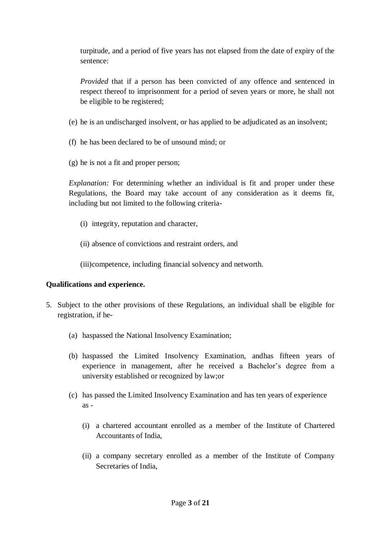turpitude, and a period of five years has not elapsed from the date of expiry of the sentence:

*Provided* that if a person has been convicted of any offence and sentenced in respect thereof to imprisonment for a period of seven years or more, he shall not be eligible to be registered;

- (e) he is an undischarged insolvent, or has applied to be adjudicated as an insolvent;
- (f) he has been declared to be of unsound mind; or
- (g) he is not a fit and proper person;

*Explanation:* For determining whether an individual is fit and proper under these Regulations, the Board may take account of any consideration as it deems fit, including but not limited to the following criteria-

- (i) integrity, reputation and character,
- (ii) absence of convictions and restraint orders, and

(iii)competence, including financial solvency and networth.

### **Qualifications and experience.**

- 5. Subject to the other provisions of these Regulations, an individual shall be eligible for registration, if he-
	- (a) haspassed the National Insolvency Examination;
	- (b) haspassed the Limited Insolvency Examination, andhas fifteen years of experience in management, after he received a Bachelor's degree from a university established or recognized by law;or
	- (c) has passed the Limited Insolvency Examination and has ten years of experience as -
		- (i) a chartered accountant enrolled as a member of the Institute of Chartered Accountants of India,
		- (ii) a company secretary enrolled as a member of the Institute of Company Secretaries of India,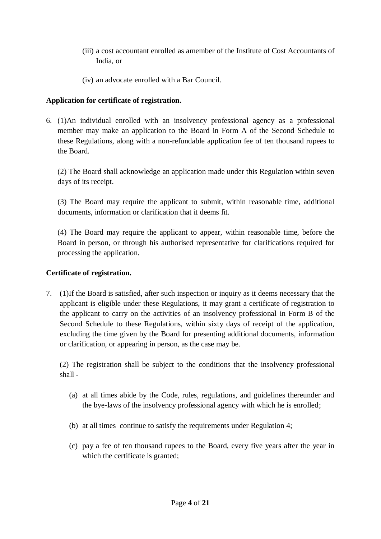- (iii) a cost accountant enrolled as amember of the Institute of Cost Accountants of India, or
- (iv) an advocate enrolled with a Bar Council.

## **Application for certificate of registration.**

6. (1)An individual enrolled with an insolvency professional agency as a professional member may make an application to the Board in Form A of the Second Schedule to these Regulations, along with a non-refundable application fee of ten thousand rupees to the Board.

(2) The Board shall acknowledge an application made under this Regulation within seven days of its receipt.

(3) The Board may require the applicant to submit, within reasonable time, additional documents, information or clarification that it deems fit.

(4) The Board may require the applicant to appear, within reasonable time, before the Board in person, or through his authorised representative for clarifications required for processing the application.

## **Certificate of registration.**

7. (1)If the Board is satisfied, after such inspection or inquiry as it deems necessary that the applicant is eligible under these Regulations, it may grant a certificate of registration to the applicant to carry on the activities of an insolvency professional in Form B of the Second Schedule to these Regulations, within sixty days of receipt of the application, excluding the time given by the Board for presenting additional documents, information or clarification, or appearing in person, as the case may be.

(2) The registration shall be subject to the conditions that the insolvency professional shall -

- (a) at all times abide by the Code, rules, regulations, and guidelines thereunder and the bye-laws of the insolvency professional agency with which he is enrolled;
- (b) at all times continue to satisfy the requirements under Regulation 4;
- (c) pay a fee of ten thousand rupees to the Board, every five years after the year in which the certificate is granted;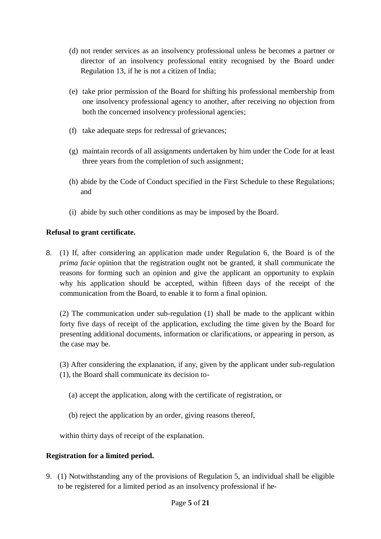- (d) not render services as an insolvency professional unless he becomes a partner or director of an insolvency professional entity recognised by the Board under Regulation 13, if he is not a citizen of India;
- (e) take prior permission of the Board for shifting his professional membership from one insolvency professional agency to another, after receiving no objection from both the concerned insolvency professional agencies;
- (f) take adequate steps for redressal of grievances;
- (g) maintain records of all assignments undertaken by him under the Code for at least three years from the completion of such assignment;
- (h) abide by the Code of Conduct specified in the First Schedule to these Regulations; and
- (i) abide by such other conditions as may be imposed by the Board.

## **Refusal to grant certificate.**

8. (1) If, after considering an application made under Regulation 6, the Board is of the *prima facie* opinion that the registration ought not be granted, it shall communicate the reasons for forming such an opinion and give the applicant an opportunity to explain why his application should be accepted, within fifteen days of the receipt of the communication from the Board, to enable it to form a final opinion.

(2) The communication under sub-regulation (1) shall be made to the applicant within forty five days of receipt of the application, excluding the time given by the Board for presenting additional documents, information or clarifications, or appearing in person, as the case may be.

(3) After considering the explanation, if any, given by the applicant under sub-regulation (1), the Board shall communicate its decision to-

- (a) accept the application, along with the certificate of registration, or
- (b) reject the application by an order, giving reasons thereof,

within thirty days of receipt of the explanation.

## **Registration for a limited period.**

9. (1) Notwithstanding any of the provisions of Regulation 5, an individual shall be eligible to be registered for a limited period as an insolvency professional if he-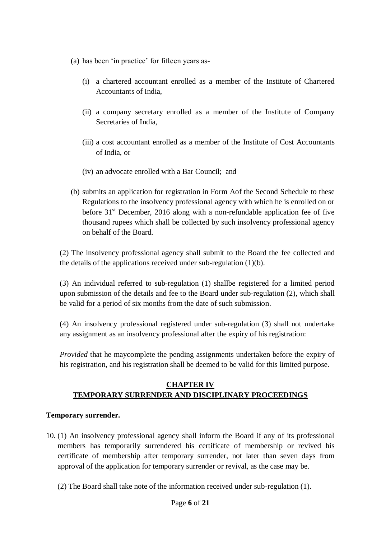- (a) has been 'in practice' for fifteen years as-
	- (i) a chartered accountant enrolled as a member of the Institute of Chartered Accountants of India,
	- (ii) a company secretary enrolled as a member of the Institute of Company Secretaries of India,
	- (iii) a cost accountant enrolled as a member of the Institute of Cost Accountants of India, or
	- (iv) an advocate enrolled with a Bar Council; and
- (b) submits an application for registration in Form Aof the Second Schedule to these Regulations to the insolvency professional agency with which he is enrolled on or before 31<sup>st</sup> December, 2016 along with a non-refundable application fee of five thousand rupees which shall be collected by such insolvency professional agency on behalf of the Board.

(2) The insolvency professional agency shall submit to the Board the fee collected and the details of the applications received under sub-regulation (1)(b).

(3) An individual referred to sub-regulation (1) shallbe registered for a limited period upon submission of the details and fee to the Board under sub-regulation (2), which shall be valid for a period of six months from the date of such submission.

(4) An insolvency professional registered under sub-regulation (3) shall not undertake any assignment as an insolvency professional after the expiry of his registration:

*Provided* that he maycomplete the pending assignments undertaken before the expiry of his registration, and his registration shall be deemed to be valid for this limited purpose.

## **CHAPTER IV TEMPORARY SURRENDER AND DISCIPLINARY PROCEEDINGS**

### **Temporary surrender.**

- 10. (1) An insolvency professional agency shall inform the Board if any of its professional members has temporarily surrendered his certificate of membership or revived his certificate of membership after temporary surrender, not later than seven days from approval of the application for temporary surrender or revival, as the case may be.
	- (2) The Board shall take note of the information received under sub-regulation (1).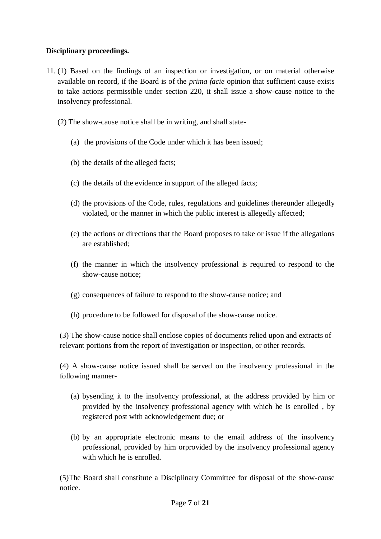## **Disciplinary proceedings.**

- 11. (1) Based on the findings of an inspection or investigation, or on material otherwise available on record, if the Board is of the *prima facie* opinion that sufficient cause exists to take actions permissible under section 220, it shall issue a show-cause notice to the insolvency professional.
	- (2) The show-cause notice shall be in writing, and shall state-
		- (a) the provisions of the Code under which it has been issued;
		- (b) the details of the alleged facts;
		- (c) the details of the evidence in support of the alleged facts;
		- (d) the provisions of the Code, rules, regulations and guidelines thereunder allegedly violated, or the manner in which the public interest is allegedly affected;
		- (e) the actions or directions that the Board proposes to take or issue if the allegations are established;
		- (f) the manner in which the insolvency professional is required to respond to the show-cause notice;
		- (g) consequences of failure to respond to the show-cause notice; and
		- (h) procedure to be followed for disposal of the show-cause notice.

(3) The show-cause notice shall enclose copies of documents relied upon and extracts of relevant portions from the report of investigation or inspection, or other records.

(4) A show-cause notice issued shall be served on the insolvency professional in the following manner-

- (a) bysending it to the insolvency professional, at the address provided by him or provided by the insolvency professional agency with which he is enrolled , by registered post with acknowledgement due; or
- (b) by an appropriate electronic means to the email address of the insolvency professional, provided by him orprovided by the insolvency professional agency with which he is enrolled.

(5)The Board shall constitute a Disciplinary Committee for disposal of the show-cause notice.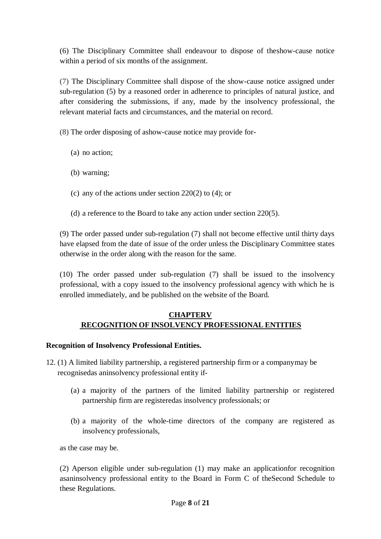(6) The Disciplinary Committee shall endeavour to dispose of theshow-cause notice within a period of six months of the assignment.

(7) The Disciplinary Committee shall dispose of the show-cause notice assigned under sub-regulation (5) by a reasoned order in adherence to principles of natural justice, and after considering the submissions, if any, made by the insolvency professional, the relevant material facts and circumstances, and the material on record.

(8) The order disposing of ashow-cause notice may provide for-

- (a) no action;
- (b) warning;
- (c) any of the actions under section 220(2) to (4); or
- (d) a reference to the Board to take any action under section 220(5).

(9) The order passed under sub-regulation (7) shall not become effective until thirty days have elapsed from the date of issue of the order unless the Disciplinary Committee states otherwise in the order along with the reason for the same.

(10) The order passed under sub-regulation (7) shall be issued to the insolvency professional, with a copy issued to the insolvency professional agency with which he is enrolled immediately, and be published on the website of the Board.

## **CHAPTERV RECOGNITION OF INSOLVENCY PROFESSIONAL ENTITIES**

### **Recognition of Insolvency Professional Entities.**

- 12. (1) A limited liability partnership, a registered partnership firm or a companymay be recognisedas aninsolvency professional entity if-
	- (a) a majority of the partners of the limited liability partnership or registered partnership firm are registeredas insolvency professionals; or
	- (b) a majority of the whole-time directors of the company are registered as insolvency professionals,

as the case may be.

(2) Aperson eligible under sub-regulation (1) may make an applicationfor recognition asaninsolvency professional entity to the Board in Form C of theSecond Schedule to these Regulations.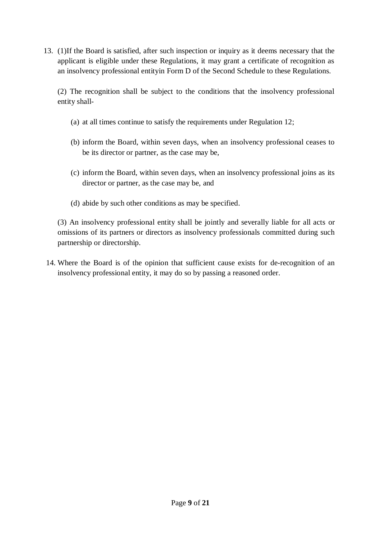13. (1)If the Board is satisfied, after such inspection or inquiry as it deems necessary that the applicant is eligible under these Regulations, it may grant a certificate of recognition as an insolvency professional entityin Form D of the Second Schedule to these Regulations.

(2) The recognition shall be subject to the conditions that the insolvency professional entity shall-

- (a) at all times continue to satisfy the requirements under Regulation 12;
- (b) inform the Board, within seven days, when an insolvency professional ceases to be its director or partner, as the case may be,
- (c) inform the Board, within seven days, when an insolvency professional joins as its director or partner, as the case may be, and
- (d) abide by such other conditions as may be specified.

(3) An insolvency professional entity shall be jointly and severally liable for all acts or omissions of its partners or directors as insolvency professionals committed during such partnership or directorship.

14. Where the Board is of the opinion that sufficient cause exists for de-recognition of an insolvency professional entity, it may do so by passing a reasoned order.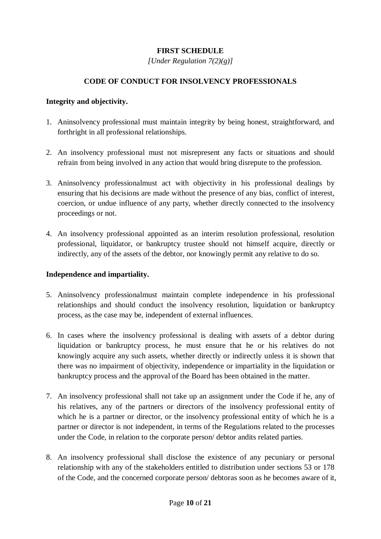## **FIRST SCHEDULE**

*[Under Regulation 7(2)(g)]*

## **CODE OF CONDUCT FOR INSOLVENCY PROFESSIONALS**

#### **Integrity and objectivity.**

- 1. Aninsolvency professional must maintain integrity by being honest, straightforward, and forthright in all professional relationships.
- 2. An insolvency professional must not misrepresent any facts or situations and should refrain from being involved in any action that would bring disrepute to the profession.
- 3. Aninsolvency professionalmust act with objectivity in his professional dealings by ensuring that his decisions are made without the presence of any bias, conflict of interest, coercion, or undue influence of any party, whether directly connected to the insolvency proceedings or not.
- 4. An insolvency professional appointed as an interim resolution professional, resolution professional, liquidator, or bankruptcy trustee should not himself acquire, directly or indirectly, any of the assets of the debtor, nor knowingly permit any relative to do so.

### **Independence and impartiality.**

- 5. Aninsolvency professionalmust maintain complete independence in his professional relationships and should conduct the insolvency resolution, liquidation or bankruptcy process, as the case may be, independent of external influences.
- 6. In cases where the insolvency professional is dealing with assets of a debtor during liquidation or bankruptcy process, he must ensure that he or his relatives do not knowingly acquire any such assets, whether directly or indirectly unless it is shown that there was no impairment of objectivity, independence or impartiality in the liquidation or bankruptcy process and the approval of the Board has been obtained in the matter.
- 7. An insolvency professional shall not take up an assignment under the Code if he, any of his relatives, any of the partners or directors of the insolvency professional entity of which he is a partner or director, or the insolvency professional entity of which he is a partner or director is not independent, in terms of the Regulations related to the processes under the Code, in relation to the corporate person/ debtor andits related parties.
- 8. An insolvency professional shall disclose the existence of any pecuniary or personal relationship with any of the stakeholders entitled to distribution under sections 53 or 178 of the Code, and the concerned corporate person/ debtoras soon as he becomes aware of it,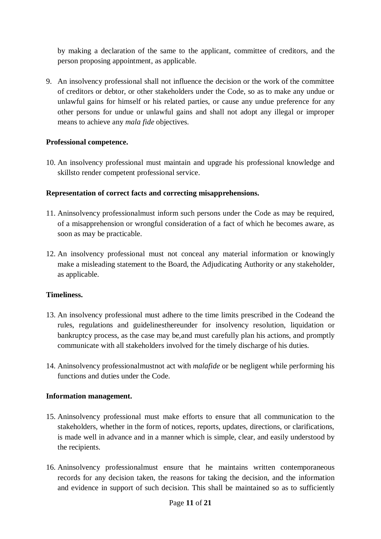by making a declaration of the same to the applicant, committee of creditors, and the person proposing appointment, as applicable.

9. An insolvency professional shall not influence the decision or the work of the committee of creditors or debtor, or other stakeholders under the Code, so as to make any undue or unlawful gains for himself or his related parties, or cause any undue preference for any other persons for undue or unlawful gains and shall not adopt any illegal or improper means to achieve any *mala fide* objectives.

## **Professional competence.**

10. An insolvency professional must maintain and upgrade his professional knowledge and skillsto render competent professional service.

## **Representation of correct facts and correcting misapprehensions.**

- 11. Aninsolvency professionalmust inform such persons under the Code as may be required, of a misapprehension or wrongful consideration of a fact of which he becomes aware, as soon as may be practicable.
- 12. An insolvency professional must not conceal any material information or knowingly make a misleading statement to the Board, the Adjudicating Authority or any stakeholder, as applicable.

### **Timeliness.**

- 13. An insolvency professional must adhere to the time limits prescribed in the Codeand the rules, regulations and guidelinesthereunder for insolvency resolution, liquidation or bankruptcy process, as the case may be,and must carefully plan his actions, and promptly communicate with all stakeholders involved for the timely discharge of his duties.
- 14. Aninsolvency professionalmustnot act with *malafide* or be negligent while performing his functions and duties under the Code.

### **Information management.**

- 15. Aninsolvency professional must make efforts to ensure that all communication to the stakeholders, whether in the form of notices, reports, updates, directions, or clarifications, is made well in advance and in a manner which is simple, clear, and easily understood by the recipients.
- 16. Aninsolvency professionalmust ensure that he maintains written contemporaneous records for any decision taken, the reasons for taking the decision, and the information and evidence in support of such decision. This shall be maintained so as to sufficiently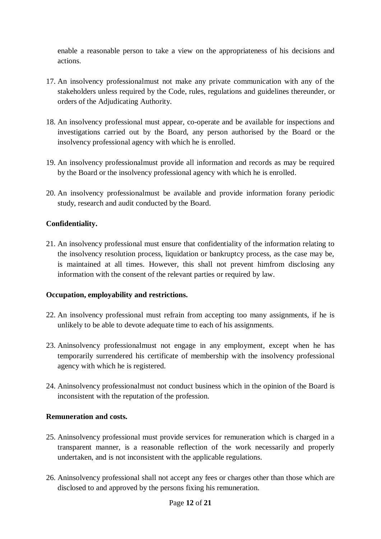enable a reasonable person to take a view on the appropriateness of his decisions and actions.

- 17. An insolvency professionalmust not make any private communication with any of the stakeholders unless required by the Code, rules, regulations and guidelines thereunder, or orders of the Adjudicating Authority.
- 18. An insolvency professional must appear, co-operate and be available for inspections and investigations carried out by the Board, any person authorised by the Board or the insolvency professional agency with which he is enrolled.
- 19. An insolvency professionalmust provide all information and records as may be required by the Board or the insolvency professional agency with which he is enrolled.
- 20. An insolvency professionalmust be available and provide information forany periodic study, research and audit conducted by the Board.

## **Confidentiality.**

21. An insolvency professional must ensure that confidentiality of the information relating to the insolvency resolution process, liquidation or bankruptcy process, as the case may be, is maintained at all times. However, this shall not prevent himfrom disclosing any information with the consent of the relevant parties or required by law.

### **Occupation, employability and restrictions.**

- 22. An insolvency professional must refrain from accepting too many assignments, if he is unlikely to be able to devote adequate time to each of his assignments.
- 23. Aninsolvency professionalmust not engage in any employment, except when he has temporarily surrendered his certificate of membership with the insolvency professional agency with which he is registered.
- 24. Aninsolvency professionalmust not conduct business which in the opinion of the Board is inconsistent with the reputation of the profession.

### **Remuneration and costs.**

- 25. Aninsolvency professional must provide services for remuneration which is charged in a transparent manner, is a reasonable reflection of the work necessarily and properly undertaken, and is not inconsistent with the applicable regulations.
- 26. Aninsolvency professional shall not accept any fees or charges other than those which are disclosed to and approved by the persons fixing his remuneration.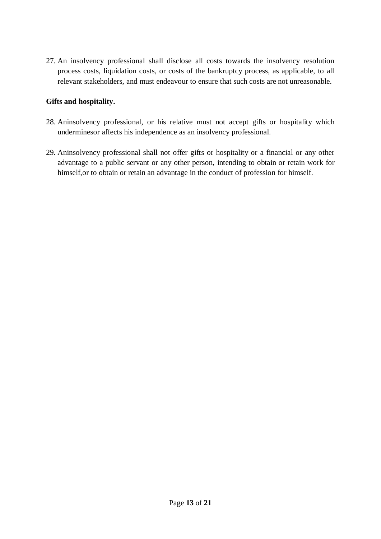27. An insolvency professional shall disclose all costs towards the insolvency resolution process costs, liquidation costs, or costs of the bankruptcy process, as applicable, to all relevant stakeholders, and must endeavour to ensure that such costs are not unreasonable.

## **Gifts and hospitality.**

- 28. Aninsolvency professional, or his relative must not accept gifts or hospitality which underminesor affects his independence as an insolvency professional.
- 29. Aninsolvency professional shall not offer gifts or hospitality or a financial or any other advantage to a public servant or any other person, intending to obtain or retain work for himself,or to obtain or retain an advantage in the conduct of profession for himself.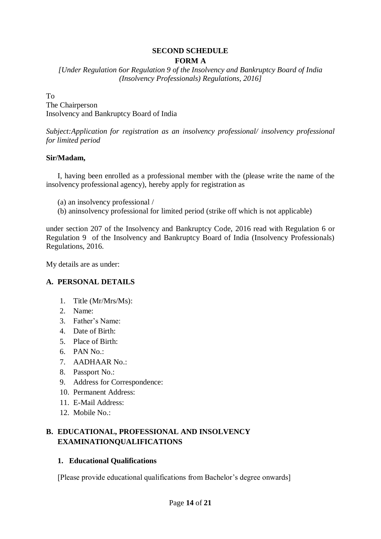#### **SECOND SCHEDULE FORM A**

*[Under Regulation 6or Regulation 9 of the Insolvency and Bankruptcy Board of India (Insolvency Professionals) Regulations, 2016]*

#### To

The Chairperson Insolvency and Bankruptcy Board of India

*Subject:Application for registration as an insolvency professional/ insolvency professional for limited period*

#### **Sir/Madam,**

I, having been enrolled as a professional member with the (please write the name of the insolvency professional agency), hereby apply for registration as

- (a) an insolvency professional /
- (b) aninsolvency professional for limited period (strike off which is not applicable)

under section 207 of the Insolvency and Bankruptcy Code, 2016 read with Regulation 6 or Regulation 9 of the Insolvency and Bankruptcy Board of India (Insolvency Professionals) Regulations, 2016.

My details are as under:

### **A. PERSONAL DETAILS**

- 1. Title (Mr/Mrs/Ms):
- 2. Name:
- 3. Father's Name:
- 4. Date of Birth:
- 5. Place of Birth:
- 6. PAN No.:
- 7. AADHAAR No.:
- 8. Passport No.:
- 9. Address for Correspondence:
- 10. Permanent Address:
- 11. E-Mail Address:
- 12. Mobile No.:

## **B. EDUCATIONAL, PROFESSIONAL AND INSOLVENCY EXAMINATIONQUALIFICATIONS**

#### **1. Educational Qualifications**

[Please provide educational qualifications from Bachelor's degree onwards]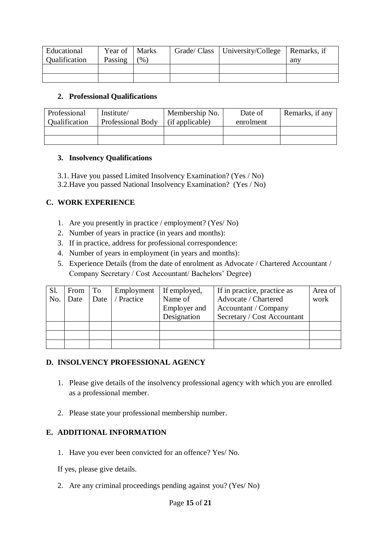| Educational          | Year of | <b>Marks</b>      | Grade/ Class   University/College   Remarks, if |     |
|----------------------|---------|-------------------|-------------------------------------------------|-----|
| <b>Qualification</b> | Passing | $\mathcal{O}_0$ ) |                                                 | any |
|                      |         |                   |                                                 |     |
|                      |         |                   |                                                 |     |

### **2. Professional Qualifications**

| Professional<br><b>Oualification</b> | Institute/<br>Professional Body | Membership No.<br>(if applicable) | Date of<br>enrolment | Remarks, if any |
|--------------------------------------|---------------------------------|-----------------------------------|----------------------|-----------------|
|                                      |                                 |                                   |                      |                 |
|                                      |                                 |                                   |                      |                 |

### **3. Insolvency Qualifications**

- 3.1. Have you passed Limited Insolvency Examination? (Yes / No)
- 3.2.Have you passed National Insolvency Examination? (Yes / No)

## **C. WORK EXPERIENCE**

- 1. Are you presently in practice / employment? (Yes/ No)
- 2. Number of years in practice (in years and months):
- 3. If in practice, address for professional correspondence:
- 4. Number of years in employment (in years and months):
- 5. Experience Details (from the date of enrolment as Advocate / Chartered Accountant / Company Secretary / Cost Accountant/ Bachelors' Degree)

| Sl. | From | To   | Employment | If employed,        | If in practice, practice as | Area of |
|-----|------|------|------------|---------------------|-----------------------------|---------|
| No. | Date | Date | / Practice | Name of             | Advocate / Chartered        | work    |
|     |      |      |            | <b>Employer</b> and | Accountant / Company        |         |
|     |      |      |            | Designation         | Secretary / Cost Accountant |         |
|     |      |      |            |                     |                             |         |
|     |      |      |            |                     |                             |         |
|     |      |      |            |                     |                             |         |

### **D. INSOLVENCY PROFESSIONAL AGENCY**

- 1. Please give details of the insolvency professional agency with which you are enrolled as a professional member.
- 2. Please state your professional membership number.

## **E. ADDITIONAL INFORMATION**

1. Have you ever been convicted for an offence? Yes/ No.

If yes, please give details.

2. Are any criminal proceedings pending against you? (Yes/ No)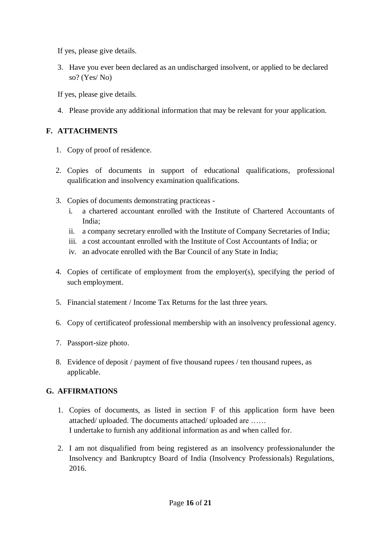If yes, please give details.

3. Have you ever been declared as an undischarged insolvent, or applied to be declared so? (Yes/ No)

If yes, please give details.

4. Please provide any additional information that may be relevant for your application.

# **F. ATTACHMENTS**

- 1. Copy of proof of residence.
- 2. Copies of documents in support of educational qualifications, professional qualification and insolvency examination qualifications.
- 3. Copies of documents demonstrating practiceas
	- i. a chartered accountant enrolled with the Institute of Chartered Accountants of India;
	- ii. a company secretary enrolled with the Institute of Company Secretaries of India;
	- iii. a cost accountant enrolled with the Institute of Cost Accountants of India; or
	- iv. an advocate enrolled with the Bar Council of any State in India;
- 4. Copies of certificate of employment from the employer(s), specifying the period of such employment.
- 5. Financial statement / Income Tax Returns for the last three years.
- 6. Copy of certificateof professional membership with an insolvency professional agency.
- 7. Passport-size photo.
- 8. Evidence of deposit / payment of five thousand rupees / ten thousand rupees, as applicable.

# **G. AFFIRMATIONS**

- 1. Copies of documents, as listed in section F of this application form have been attached/ uploaded. The documents attached/ uploaded are …… I undertake to furnish any additional information as and when called for.
- 2. I am not disqualified from being registered as an insolvency professionalunder the Insolvency and Bankruptcy Board of India (Insolvency Professionals) Regulations, 2016.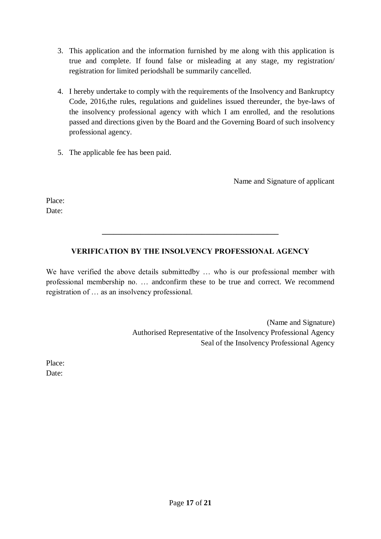- 3. This application and the information furnished by me along with this application is true and complete. If found false or misleading at any stage, my registration/ registration for limited periodshall be summarily cancelled.
- 4. I hereby undertake to comply with the requirements of the Insolvency and Bankruptcy Code, 2016,the rules, regulations and guidelines issued thereunder, the bye-laws of the insolvency professional agency with which I am enrolled, and the resolutions passed and directions given by the Board and the Governing Board of such insolvency professional agency.
- 5. The applicable fee has been paid.

Name and Signature of applicant

Place: Date:

# **VERIFICATION BY THE INSOLVENCY PROFESSIONAL AGENCY**

**\_\_\_\_\_\_\_\_\_\_\_\_\_\_\_\_\_\_\_\_\_\_\_\_\_\_\_\_\_\_\_\_\_\_\_\_\_\_\_\_\_\_\_\_\_\_**

We have verified the above details submittedby ... who is our professional member with professional membership no. … andconfirm these to be true and correct. We recommend registration of … as an insolvency professional.

> (Name and Signature) Authorised Representative of the Insolvency Professional Agency Seal of the Insolvency Professional Agency

Place: Date: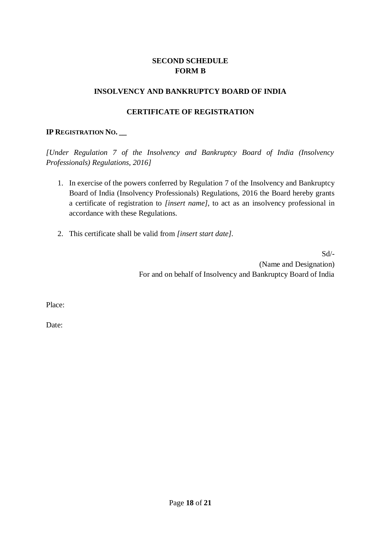## **SECOND SCHEDULE FORM B**

## **INSOLVENCY AND BANKRUPTCY BOARD OF INDIA**

## **CERTIFICATE OF REGISTRATION**

## **IP REGISTRATION NO. \_\_**

*[Under Regulation 7 of the Insolvency and Bankruptcy Board of India (Insolvency Professionals) Regulations, 2016]*

- 1. In exercise of the powers conferred by Regulation 7 of the Insolvency and Bankruptcy Board of India (Insolvency Professionals) Regulations, 2016 the Board hereby grants a certificate of registration to *[insert name],* to act as an insolvency professional in accordance with these Regulations.
- 2. This certificate shall be valid from *[insert start date].*

Sd/- (Name and Designation) For and on behalf of Insolvency and Bankruptcy Board of India

Place:

Date: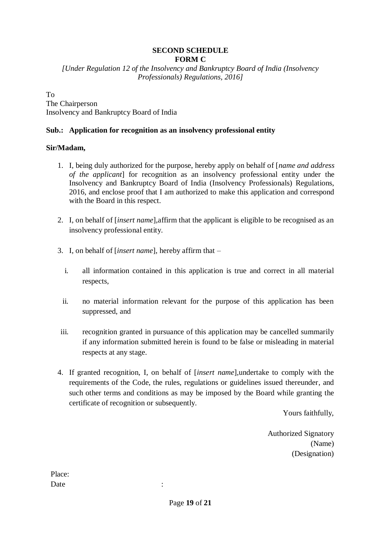## **SECOND SCHEDULE FORM C**

*[Under Regulation 12 of the Insolvency and Bankruptcy Board of India (Insolvency Professionals) Regulations, 2016]*

To

The Chairperson Insolvency and Bankruptcy Board of India

## **Sub.: Application for recognition as an insolvency professional entity**

## **Sir/Madam,**

- 1. I, being duly authorized for the purpose, hereby apply on behalf of [*name and address of the applicant*] for recognition as an insolvency professional entity under the Insolvency and Bankruptcy Board of India (Insolvency Professionals) Regulations, 2016, and enclose proof that I am authorized to make this application and correspond with the Board in this respect.
- 2. I, on behalf of [*insert name*],affirm that the applicant is eligible to be recognised as an insolvency professional entity.
- 3. I, on behalf of [*insert name*], hereby affirm that
	- i. all information contained in this application is true and correct in all material respects,
	- ii. no material information relevant for the purpose of this application has been suppressed, and
- iii. recognition granted in pursuance of this application may be cancelled summarily if any information submitted herein is found to be false or misleading in material respects at any stage.
- 4. If granted recognition, I, on behalf of [*insert name*],undertake to comply with the requirements of the Code, the rules, regulations or guidelines issued thereunder, and such other terms and conditions as may be imposed by the Board while granting the certificate of recognition or subsequently.

Yours faithfully,

Authorized Signatory (Name) (Designation)

Place: Date : the set of the set of the set of the set of the set of the set of the set of the set of the set of the set of the set of the set of the set of the set of the set of the set of the set of the set of the set of the se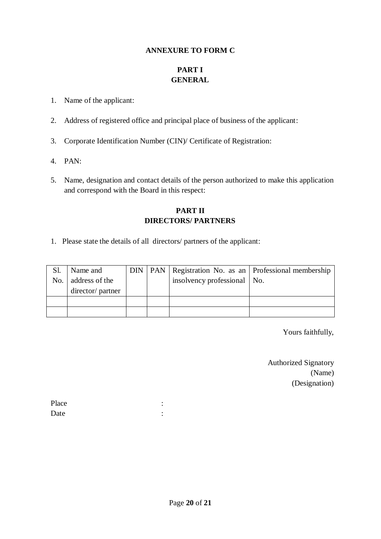### **ANNEXURE TO FORM C**

# **PART I GENERAL**

- 1. Name of the applicant:
- 2. Address of registered office and principal place of business of the applicant:
- 3. Corporate Identification Number (CIN)/ Certificate of Registration:
- 4. PAN:
- 5. Name, designation and contact details of the person authorized to make this application and correspond with the Board in this respect:

## **PART II DIRECTORS/ PARTNERS**

1. Please state the details of all directors/ partners of the applicant:

| Sl.<br>No. | Name and<br>address of the |  | insolvency professional   No. | DIN   PAN   Registration No. as an   Professional membership |
|------------|----------------------------|--|-------------------------------|--------------------------------------------------------------|
|            |                            |  |                               |                                                              |
|            | director/ partner          |  |                               |                                                              |
|            |                            |  |                               |                                                              |
|            |                            |  |                               |                                                              |

Yours faithfully,

Authorized Signatory (Name) (Designation)

| Place |  |
|-------|--|
| Date  |  |